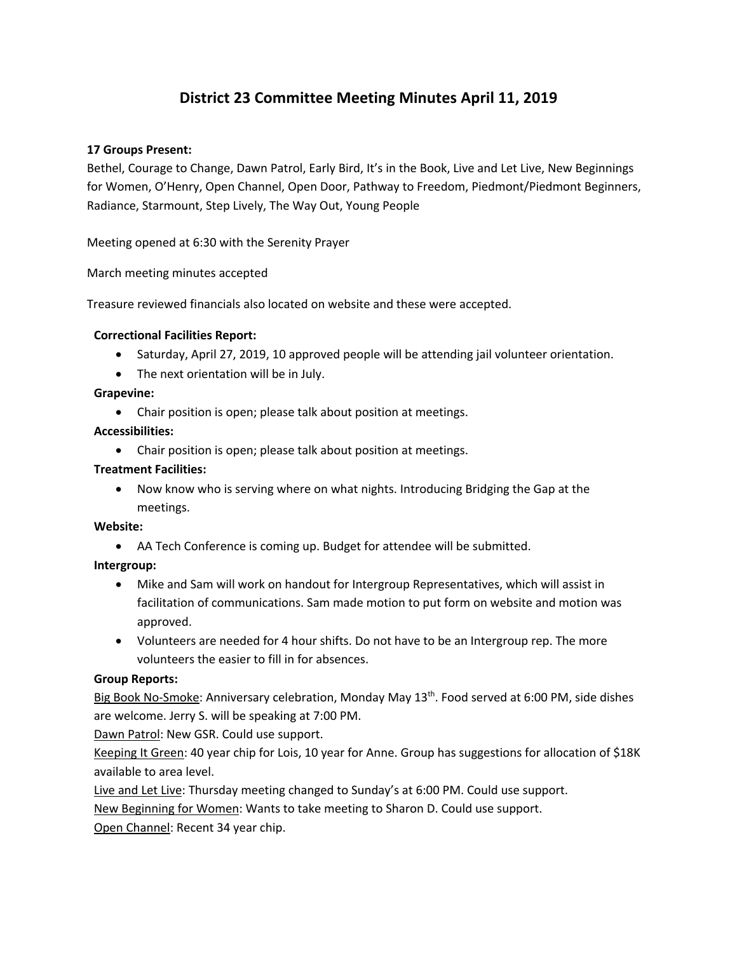# **District 23 Committee Meeting Minutes April 11, 2019**

#### **17 Groups Present:**

Bethel, Courage to Change, Dawn Patrol, Early Bird, It's in the Book, Live and Let Live, New Beginnings for Women, O'Henry, Open Channel, Open Door, Pathway to Freedom, Piedmont/Piedmont Beginners, Radiance, Starmount, Step Lively, The Way Out, Young People

Meeting opened at 6:30 with the Serenity Prayer

March meeting minutes accepted

Treasure reviewed financials also located on website and these were accepted.

#### **Correctional Facilities Report:**

- Saturday, April 27, 2019, 10 approved people will be attending jail volunteer orientation.
- The next orientation will be in July.

#### **Grapevine:**

• Chair position is open; please talk about position at meetings.

#### **Accessibilities:**

• Chair position is open; please talk about position at meetings.

#### **Treatment Facilities:**

• Now know who is serving where on what nights. Introducing Bridging the Gap at the meetings.

#### **Website:**

• AA Tech Conference is coming up. Budget for attendee will be submitted.

## **Intergroup:**

- Mike and Sam will work on handout for Intergroup Representatives, which will assist in facilitation of communications. Sam made motion to put form on website and motion was approved.
- Volunteers are needed for 4 hour shifts. Do not have to be an Intergroup rep. The more volunteers the easier to fill in for absences.

#### **Group Reports:**

Big Book No-Smoke: Anniversary celebration, Monday May 13th. Food served at 6:00 PM, side dishes are welcome. Jerry S. will be speaking at 7:00 PM.

Dawn Patrol: New GSR. Could use support.

Keeping It Green: 40 year chip for Lois, 10 year for Anne. Group has suggestions for allocation of \$18K available to area level.

Live and Let Live: Thursday meeting changed to Sunday's at 6:00 PM. Could use support.

New Beginning for Women: Wants to take meeting to Sharon D. Could use support.

Open Channel: Recent 34 year chip.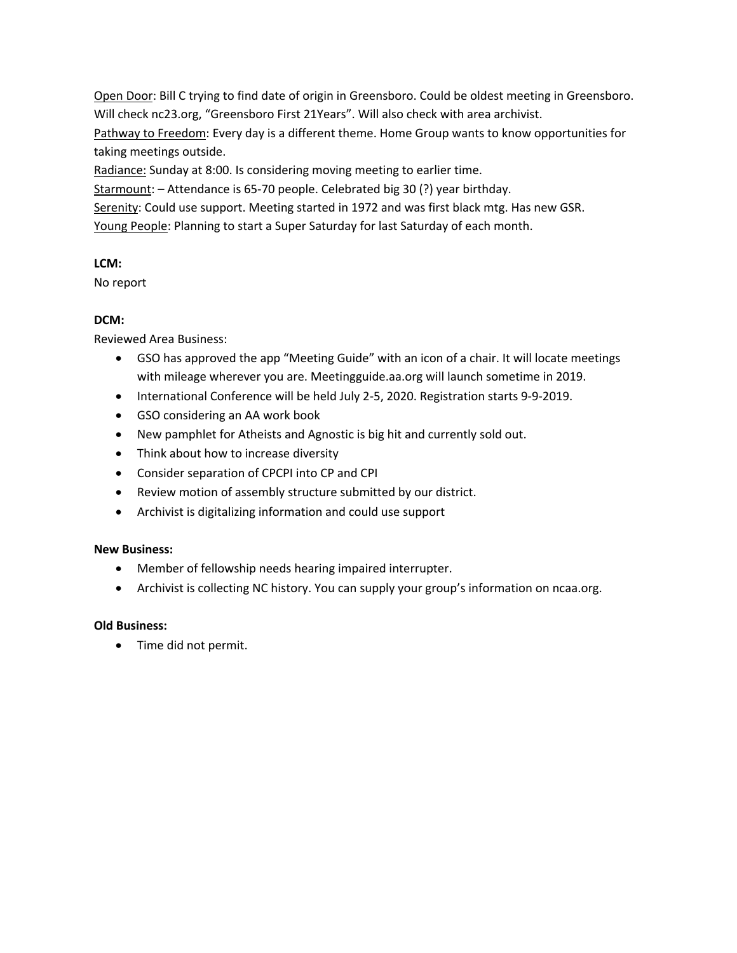Open Door: Bill C trying to find date of origin in Greensboro. Could be oldest meeting in Greensboro. Will check nc23.org, "Greensboro First 21Years". Will also check with area archivist. Pathway to Freedom: Every day is a different theme. Home Group wants to know opportunities for taking meetings outside.

Radiance: Sunday at 8:00. Is considering moving meeting to earlier time.

Starmount: - Attendance is 65-70 people. Celebrated big 30 (?) year birthday.

Serenity: Could use support. Meeting started in 1972 and was first black mtg. Has new GSR.

Young People: Planning to start a Super Saturday for last Saturday of each month.

## **LCM:**

No report

## **DCM:**

Reviewed Area Business:

- GSO has approved the app "Meeting Guide" with an icon of a chair. It will locate meetings with mileage wherever you are. Meetingguide.aa.org will launch sometime in 2019.
- International Conference will be held July 2-5, 2020. Registration starts 9-9-2019.
- GSO considering an AA work book
- New pamphlet for Atheists and Agnostic is big hit and currently sold out.
- Think about how to increase diversity
- Consider separation of CPCPI into CP and CPI
- Review motion of assembly structure submitted by our district.
- Archivist is digitalizing information and could use support

## **New Business:**

- Member of fellowship needs hearing impaired interrupter.
- Archivist is collecting NC history. You can supply your group's information on ncaa.org.

## **Old Business:**

• Time did not permit.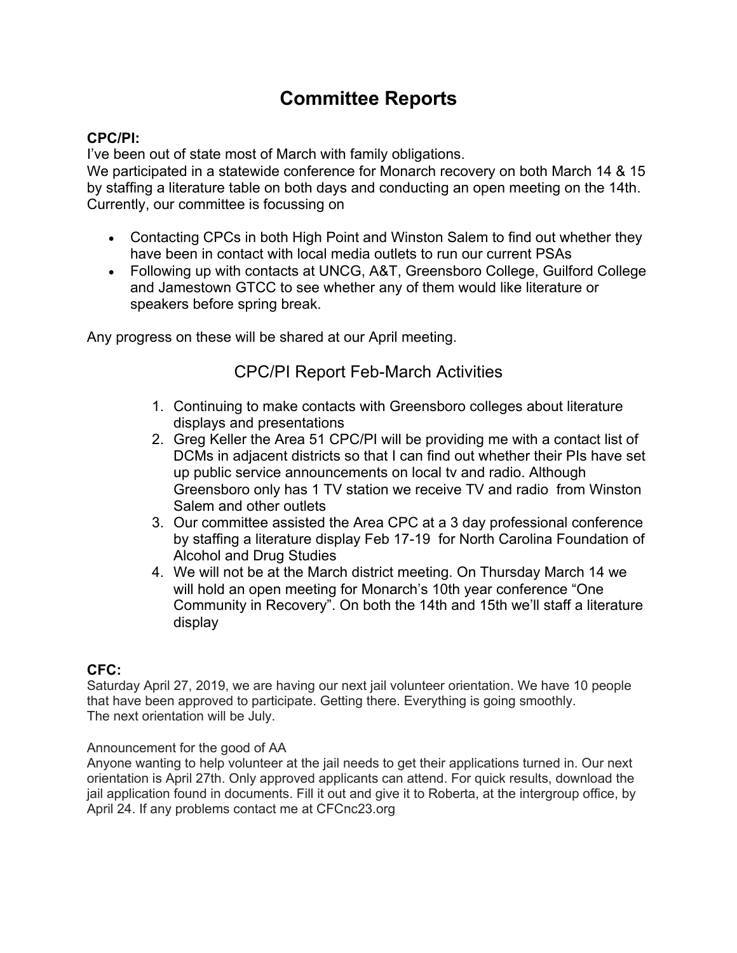# **Committee Reports**

# **CPC/PI:**

I've been out of state most of March with family obligations.

We participated in a statewide conference for Monarch recovery on both March 14 & 15 by staffing a literature table on both days and conducting an open meeting on the 14th. Currently, our committee is focussing on

- Contacting CPCs in both High Point and Winston Salem to find out whether they have been in contact with local media outlets to run our current PSAs
- Following up with contacts at UNCG, A&T, Greensboro College, Guilford College and Jamestown GTCC to see whether any of them would like literature or speakers before spring break.

Any progress on these will be shared at our April meeting.

# CPC/PI Report Feb-March Activities

- 1. Continuing to make contacts with Greensboro colleges about literature displays and presentations
- 2. Greg Keller the Area 51 CPC/PI will be providing me with a contact list of DCMs in adjacent districts so that I can find out whether their PIs have set up public service announcements on local tv and radio. Although Greensboro only has 1 TV station we receive TV and radio from Winston Salem and other outlets
- 3. Our committee assisted the Area CPC at a 3 day professional conference by staffing a literature display Feb 17-19 for North Carolina Foundation of Alcohol and Drug Studies
- 4. We will not be at the March district meeting. On Thursday March 14 we will hold an open meeting for Monarch's 10th year conference "One Community in Recovery". On both the 14th and 15th we'll staff a literature display

# **CFC:**

Saturday April 27, 2019, we are having our next jail volunteer orientation. We have 10 people that have been approved to participate. Getting there. Everything is going smoothly. The next orientation will be July.

## Announcement for the good of AA

Anyone wanting to help volunteer at the jail needs to get their applications turned in. Our next orientation is April 27th. Only approved applicants can attend. For quick results, download the jail application found in documents. Fill it out and give it to Roberta, at the intergroup office, by April 24. If any problems contact me at CFCnc23.org